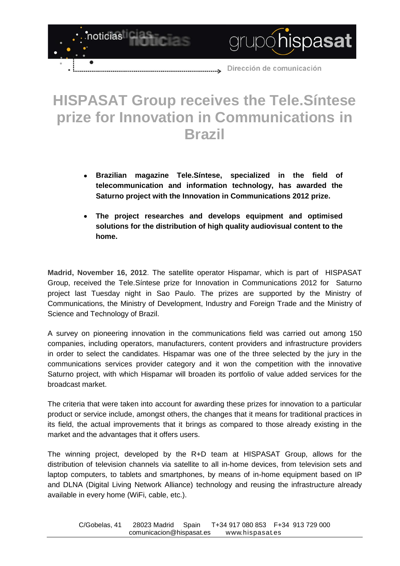Dirección de comunicación 

grupóhispasat

## **HISPASAT Group receives the Tele.Síntese prize for Innovation in Communications in Brazil**

noticias

- **Brazilian magazine Tele.Síntese, specialized in the field of telecommunication and information technology, has awarded the Saturno project with the Innovation in Communications 2012 prize.**
- **The project researches and develops equipment and optimised solutions for the distribution of high quality audiovisual content to the home.**

**Madrid, November 16, 2012**. The satellite operator Hispamar, which is part of HISPASAT Group, received the Tele.Síntese prize for Innovation in Communications 2012 for Saturno project last Tuesday night in Sao Paulo. The prizes are supported by the Ministry of Communications, the Ministry of Development, Industry and Foreign Trade and the Ministry of Science and Technology of Brazil.

A survey on pioneering innovation in the communications field was carried out among 150 companies, including operators, manufacturers, content providers and infrastructure providers in order to select the candidates. Hispamar was one of the three selected by the jury in the communications services provider category and it won the competition with the innovative Saturno project, with which Hispamar will broaden its portfolio of value added services for the broadcast market.

The criteria that were taken into account for awarding these prizes for innovation to a particular product or service include, amongst others, the changes that it means for traditional practices in its field, the actual improvements that it brings as compared to those already existing in the market and the advantages that it offers users.

The winning project, developed by the R+D team at HISPASAT Group, allows for the distribution of television channels via satellite to all in-home devices, from television sets and laptop computers, to tablets and smartphones, by means of in-home equipment based on IP and DLNA (Digital Living Network Alliance) technology and reusing the infrastructure already available in every home (WiFi, cable, etc.).